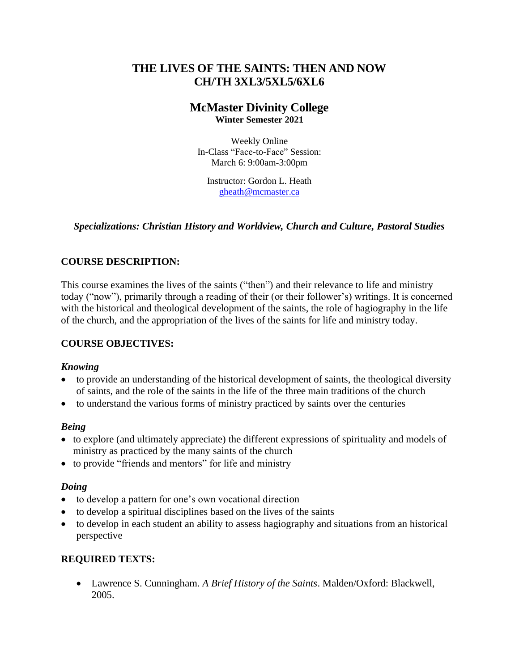# **THE LIVES OF THE SAINTS: THEN AND NOW CH/TH 3XL3/5XL5/6XL6**

# **McMaster Divinity College Winter Semester 2021**

Weekly Online In-Class "Face-to-Face" Session: March 6: 9:00am-3:00pm

Instructor: Gordon L. Heath [gheath@mcmaster.ca](mailto:gheath@mcmaster.ca)

# *Specializations: Christian History and Worldview, Church and Culture, Pastoral Studies*

# **COURSE DESCRIPTION:**

This course examines the lives of the saints ("then") and their relevance to life and ministry today ("now"), primarily through a reading of their (or their follower's) writings. It is concerned with the historical and theological development of the saints, the role of hagiography in the life of the church, and the appropriation of the lives of the saints for life and ministry today.

# **COURSE OBJECTIVES:**

## *Knowing*

- to provide an understanding of the historical development of saints, the theological diversity of saints, and the role of the saints in the life of the three main traditions of the church
- to understand the various forms of ministry practiced by saints over the centuries

## *Being*

- to explore (and ultimately appreciate) the different expressions of spirituality and models of ministry as practiced by the many saints of the church
- to provide "friends and mentors" for life and ministry

## *Doing*

- to develop a pattern for one's own vocational direction
- to develop a spiritual disciplines based on the lives of the saints
- to develop in each student an ability to assess hagiography and situations from an historical perspective

# **REQUIRED TEXTS:**

• Lawrence S. Cunningham. *A Brief History of the Saints*. Malden/Oxford: Blackwell, 2005.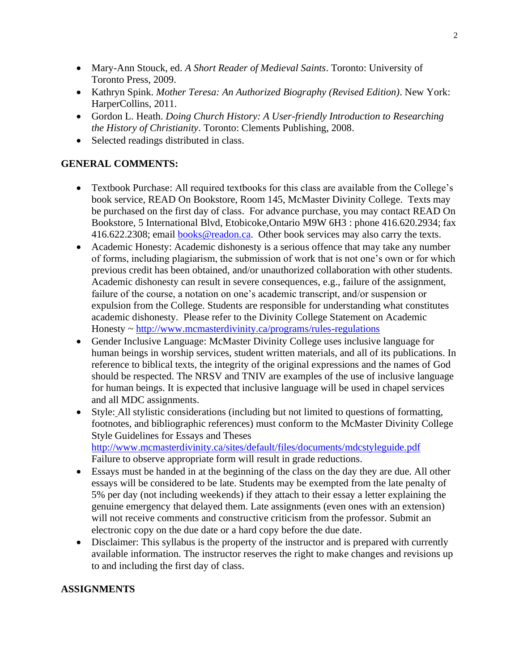- Mary-Ann Stouck, ed. *A Short Reader of Medieval Saints*. Toronto: University of Toronto Press, 2009.
- Kathryn Spink. *[Mother Teresa: An Authorized Biography](http://www.amazon.ca/Mother-Teresa-Revised-Authorized-Biography/dp/0062026143/ref=sr_1_4?ie=UTF8&qid=1343337134&sr=8-4) (Revised Edition)*. New York: HarperCollins, 2011.
- Gordon L. Heath. *Doing Church History: A User-friendly Introduction to Researching the History of Christianity*. Toronto: Clements Publishing, 2008.
- Selected readings distributed in class.

# **GENERAL COMMENTS:**

- Textbook Purchase: All required textbooks for this class are available from the College's book service, READ On Bookstore, Room 145, McMaster Divinity College. Texts may be purchased on the first day of class. For advance purchase, you may contact READ On Bookstore, 5 International Blvd, Etobicoke,Ontario M9W 6H3 : phone 416.620.2934; fax 416.622.2308; email [books@readon.ca.](mailto:books@readon.ca) Other book services may also carry the texts.
- Academic Honesty: Academic dishonesty is a serious offence that may take any number of forms, including plagiarism, the submission of work that is not one's own or for which previous credit has been obtained, and/or unauthorized collaboration with other students. Academic dishonesty can result in severe consequences, e.g., failure of the assignment, failure of the course, a notation on one's academic transcript, and/or suspension or expulsion from the College. Students are responsible for understanding what constitutes academic dishonesty. Please refer to the Divinity College Statement on Academic Honesty ~<http://www.mcmasterdivinity.ca/programs/rules-regulations>
- Gender Inclusive Language: McMaster Divinity College uses inclusive language for human beings in worship services, student written materials, and all of its publications. In reference to biblical texts, the integrity of the original expressions and the names of God should be respected. The NRSV and TNIV are examples of the use of inclusive language for human beings. It is expected that inclusive language will be used in chapel services and all MDC assignments.
- Style: All stylistic considerations (including but not limited to questions of formatting, footnotes, and bibliographic references) must conform to the McMaster Divinity College Style Guidelines for Essays and Theses [http://www.mcmasterdivinity.ca/sites/default/files/documents/mdcstyleguide.pdf](http://www.mcmasterdivinity.ca/sites/default/files/documents/MDCStyleGuide.pdf) Failure to observe appropriate form will result in grade reductions.
- Essays must be handed in at the beginning of the class on the day they are due. All other essays will be considered to be late. Students may be exempted from the late penalty of 5% per day (not including weekends) if they attach to their essay a letter explaining the genuine emergency that delayed them. Late assignments (even ones with an extension) will not receive comments and constructive criticism from the professor. Submit an electronic copy on the due date or a hard copy before the due date.
- Disclaimer: This syllabus is the property of the instructor and is prepared with currently available information. The instructor reserves the right to make changes and revisions up to and including the first day of class.

# **ASSIGNMENTS**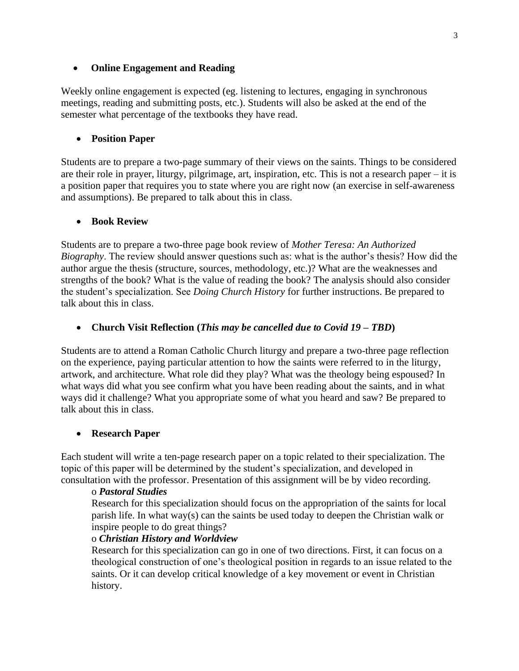## • **Online Engagement and Reading**

Weekly online engagement is expected (eg. listening to lectures, engaging in synchronous meetings, reading and submitting posts, etc.). Students will also be asked at the end of the semester what percentage of the textbooks they have read.

## • **Position Paper**

Students are to prepare a two-page summary of their views on the saints. Things to be considered are their role in prayer, liturgy, pilgrimage, art, inspiration, etc. This is not a research paper – it is a position paper that requires you to state where you are right now (an exercise in self-awareness and assumptions). Be prepared to talk about this in class.

#### • **Book Review**

Students are to prepare a two-three page book review of *Mother Teresa: An Authorized Biography*. The review should answer questions such as: what is the author's thesis? How did the author argue the thesis (structure, sources, methodology, etc.)? What are the weaknesses and strengths of the book? What is the value of reading the book? The analysis should also consider the student's specialization. See *Doing Church History* for further instructions. Be prepared to talk about this in class.

#### • **Church Visit Reflection (***This may be cancelled due to Covid 19 – TBD***)**

Students are to attend a Roman Catholic Church liturgy and prepare a two-three page reflection on the experience, paying particular attention to how the saints were referred to in the liturgy, artwork, and architecture. What role did they play? What was the theology being espoused? In what ways did what you see confirm what you have been reading about the saints, and in what ways did it challenge? What you appropriate some of what you heard and saw? Be prepared to talk about this in class.

#### • **Research Paper**

Each student will write a ten-page research paper on a topic related to their specialization. The topic of this paper will be determined by the student's specialization, and developed in consultation with the professor. Presentation of this assignment will be by video recording.

## o *Pastoral Studies*

Research for this specialization should focus on the appropriation of the saints for local parish life. In what way(s) can the saints be used today to deepen the Christian walk or inspire people to do great things?

#### o *Christian History and Worldview*

Research for this specialization can go in one of two directions. First, it can focus on a theological construction of one's theological position in regards to an issue related to the saints. Or it can develop critical knowledge of a key movement or event in Christian history.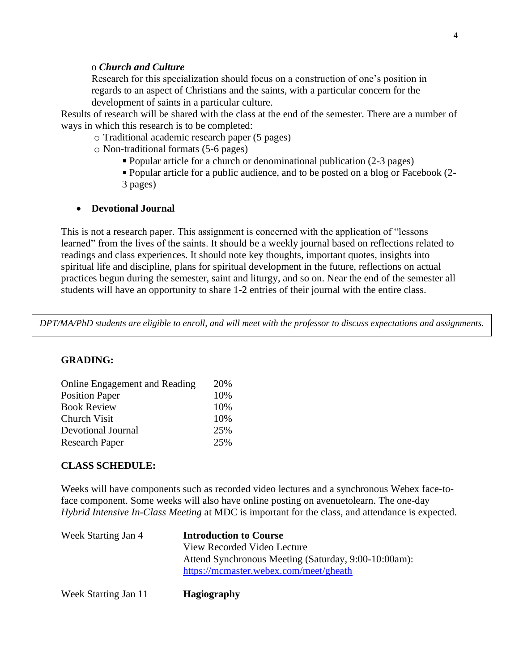#### o *Church and Culture*

Research for this specialization should focus on a construction of one's position in regards to an aspect of Christians and the saints, with a particular concern for the development of saints in a particular culture.

Results of research will be shared with the class at the end of the semester. There are a number of ways in which this research is to be completed:

o Traditional academic research paper (5 pages)

o Non-traditional formats (5-6 pages)

- Popular article for a church or denominational publication (2-3 pages)
- Popular article for a public audience, and to be posted on a blog or Facebook (2- 3 pages)

#### • **Devotional Journal**

This is not a research paper. This assignment is concerned with the application of "lessons learned" from the lives of the saints. It should be a weekly journal based on reflections related to readings and class experiences. It should note key thoughts, important quotes, insights into spiritual life and discipline, plans for spiritual development in the future, reflections on actual practices begun during the semester, saint and liturgy, and so on. Near the end of the semester all students will have an opportunity to share 1-2 entries of their journal with the entire class.

*DPT/MA/PhD students are eligible to enroll, and will meet with the professor to discuss expectations and assignments.*

#### **GRADING:**

| <b>Online Engagement and Reading</b> | 20% |
|--------------------------------------|-----|
| <b>Position Paper</b>                | 10% |
| <b>Book Review</b>                   | 10% |
| Church Visit                         | 10% |
| Devotional Journal                   | 25% |
| <b>Research Paper</b>                | 25% |

#### **CLASS SCHEDULE:**

Weeks will have components such as recorded video lectures and a synchronous Webex face-toface component. Some weeks will also have online posting on avenuetolearn. The one-day *Hybrid Intensive In-Class Meeting* at MDC is important for the class, and attendance is expected.

| Week Starting Jan 4 | <b>Introduction to Course</b>                        |
|---------------------|------------------------------------------------------|
|                     | View Recorded Video Lecture                          |
|                     | Attend Synchronous Meeting (Saturday, 9:00-10:00am): |
|                     | https://mcmaster.webex.com/meet/gheath               |
|                     |                                                      |

Week Starting Jan 11 **Hagiography**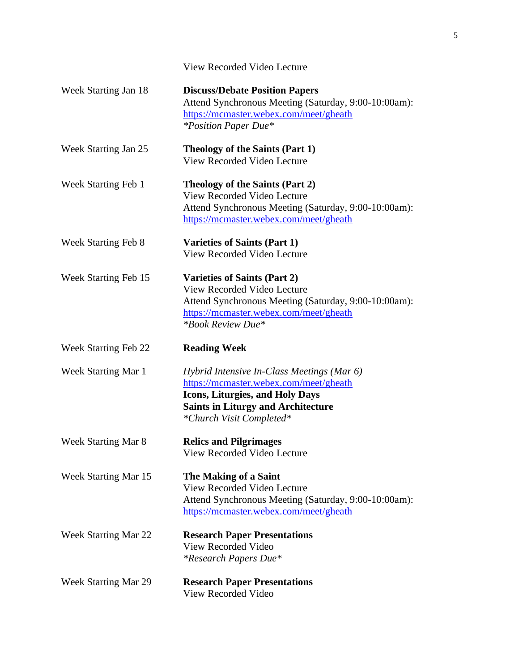|                      | View Recorded Video Lecture                                                                                                                                                                               |
|----------------------|-----------------------------------------------------------------------------------------------------------------------------------------------------------------------------------------------------------|
| Week Starting Jan 18 | <b>Discuss/Debate Position Papers</b><br>Attend Synchronous Meeting (Saturday, 9:00-10:00am):<br>https://mcmaster.webex.com/meet/gheath<br><i>*Position Paper Due*</i>                                    |
| Week Starting Jan 25 | <b>Theology of the Saints (Part 1)</b><br>View Recorded Video Lecture                                                                                                                                     |
| Week Starting Feb 1  | Theology of the Saints (Part 2)<br>View Recorded Video Lecture<br>Attend Synchronous Meeting (Saturday, 9:00-10:00am):<br>https://mcmaster.webex.com/meet/gheath                                          |
| Week Starting Feb 8  | <b>Varieties of Saints (Part 1)</b><br>View Recorded Video Lecture                                                                                                                                        |
| Week Starting Feb 15 | <b>Varieties of Saints (Part 2)</b><br>View Recorded Video Lecture<br>Attend Synchronous Meeting (Saturday, 9:00-10:00am):<br>https://mcmaster.webex.com/meet/gheath<br><i>*Book Review Due*</i>          |
|                      |                                                                                                                                                                                                           |
| Week Starting Feb 22 | <b>Reading Week</b>                                                                                                                                                                                       |
| Week Starting Mar 1  | Hybrid Intensive In-Class Meetings $(Mar 6)$<br>https://mcmaster.webex.com/meet/gheath<br><b>Icons, Liturgies, and Holy Days</b><br><b>Saints in Liturgy and Architecture</b><br>*Church Visit Completed* |
| Week Starting Mar 8  | <b>Relics and Pilgrimages</b><br>View Recorded Video Lecture                                                                                                                                              |
| Week Starting Mar 15 | The Making of a Saint<br>View Recorded Video Lecture<br>Attend Synchronous Meeting (Saturday, 9:00-10:00am):<br>https://mcmaster.webex.com/meet/gheath                                                    |
| Week Starting Mar 22 | <b>Research Paper Presentations</b><br>View Recorded Video<br><i>*Research Papers Due*</i>                                                                                                                |